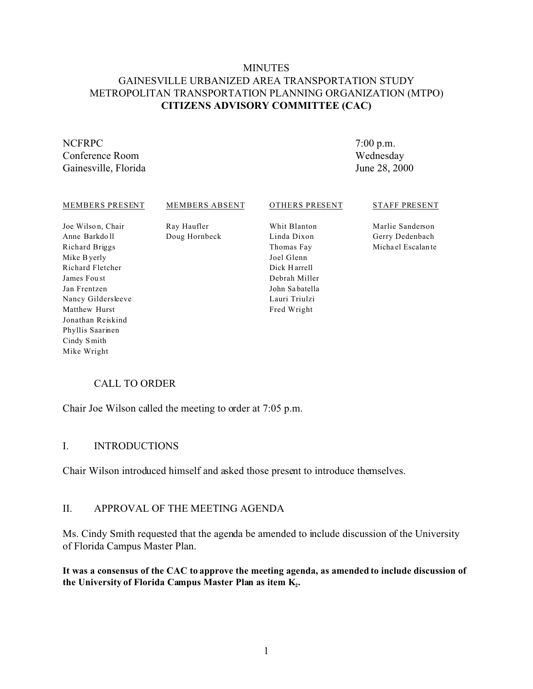# MINUTES GAINESVILLE URBANIZED AREA TRANSPORTATION STUDY METROPOLITAN TRANSPORTATION PLANNING ORGANIZATION (MTPO) **CITIZENS ADVISORY COMMITTEE (CAC)**

# NCFRPC

Phyllis Saarinen Cindy S mith Mike Wright

Conference Room Gainesville, Florida 7:00 p.m. Wednesday June 28, 2000

#### MEMBERS PRESENT Joe Wilso n, Chair Anne Barkdo ll Richard Briggs Mike Byerly Richard Fletcher James Fou st Jan Frentzen Nancy Gildersleeve Matthew Hurst Jonathan Reiskind MEMBERS ABSENT Ray Haufler Doug Hornbeck OTHERS PRESENT Whit Blanton Linda Dixon Thomas Fay Joel Glenn Dick H arrell Debrah Miller John Sa batella Lauri Triulzi Fred Wright STAFF PRESENT Marlie Sanderson Gerry Dedenbach Micha el Escalan te

# CALL TO ORDER

Chair Joe Wilson called the meeting to order at 7:05 p.m.

# I. INTRODUCTIONS

Chair Wilson introduced himself and asked those present to introduce themselves.

#### II. APPROVAL OF THE MEETING AGENDA

Ms. Cindy Smith requested that the agenda be amended to include discussion of the University of Florida Campus Master Plan.

**It was a consensus of the CAC to approve the meeting agenda, as amended to include discussion of the University of Florida Campus Master Plan as item K<sup>2</sup> .**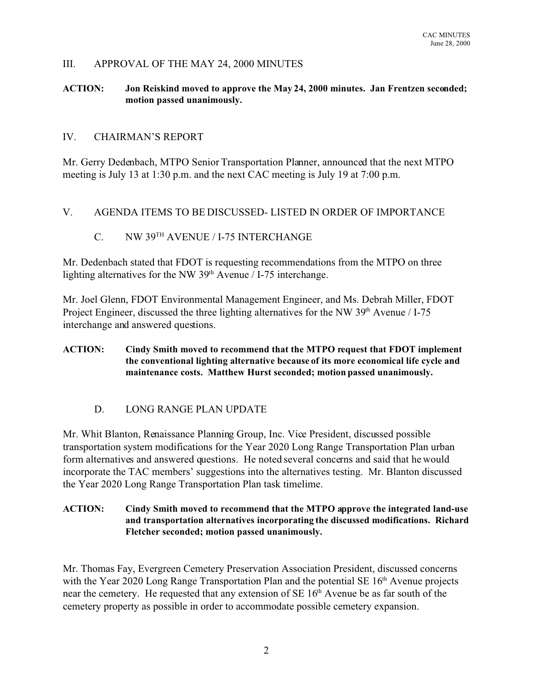### III. APPROVAL OF THE MAY 24, 2000 MINUTES

#### **ACTION: Jon Reiskind moved to approve the May 24, 2000 minutes. Jan Frentzen seconded; motion passed unanimously.**

#### IV. CHAIRMAN'S REPORT

Mr. Gerry Dedenbach, MTPO Senior Transportation Planner, announced that the next MTPO meeting is July 13 at 1:30 p.m. and the next CAC meeting is July 19 at 7:00 p.m.

#### V. AGENDA ITEMS TO BE DISCUSSED- LISTED IN ORDER OF IMPORTANCE

# C. NW 39TH AVENUE / I-75 INTERCHANGE

Mr. Dedenbach stated that FDOT is requesting recommendations from the MTPO on three lighting alternatives for the NW 39<sup>th</sup> Avenue / I-75 interchange.

Mr. Joel Glenn, FDOT Environmental Management Engineer, and Ms. Debrah Miller, FDOT Project Engineer, discussed the three lighting alternatives for the NW 39<sup>th</sup> Avenue / I-75 interchange and answered questions.

#### **ACTION: Cindy Smith moved to recommend that the MTPO request that FDOT implement the conventional lighting alternative because of its more economical life cycle and maintenance costs. Matthew Hurst seconded; motion passed unanimously.**

# D. LONG RANGE PLAN UPDATE

Mr. Whit Blanton, Renaissance Planning Group, Inc. Vice President, discussed possible transportation system modifications for the Year 2020 Long Range Transportation Plan urban form alternatives and answered questions. He noted several concerns and said that he would incorporate the TAC members' suggestions into the alternatives testing. Mr. Blanton discussed the Year 2020 Long Range Transportation Plan task timelime.

#### **ACTION: Cindy Smith moved to recommend that the MTPO approve the integrated land-use and transportation alternatives incorporating the discussed modifications. Richard Fletcher seconded; motion passed unanimously.**

Mr. Thomas Fay, Evergreen Cemetery Preservation Association President, discussed concerns with the Year 2020 Long Range Transportation Plan and the potential  $SE 16<sup>th</sup>$  Avenue projects near the cemetery. He requested that any extension of SE 16<sup>th</sup> Avenue be as far south of the cemetery property as possible in order to accommodate possible cemetery expansion.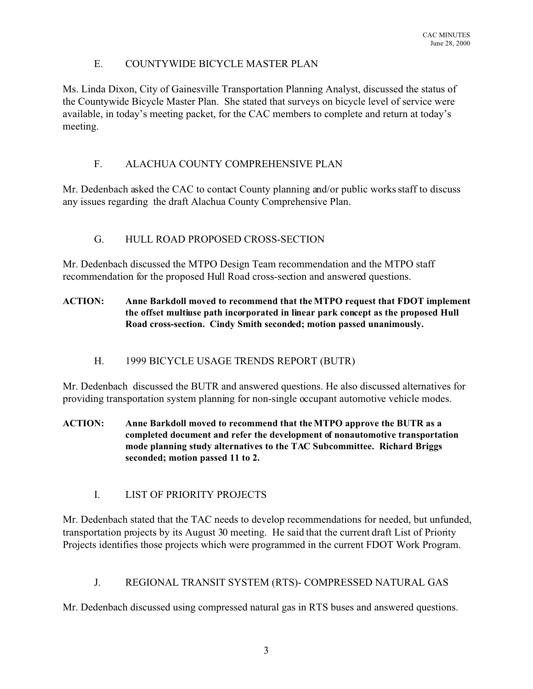# E. COUNTYWIDE BICYCLE MASTER PLAN

Ms. Linda Dixon, City of Gainesville Transportation Planning Analyst, discussed the status of the Countywide Bicycle Master Plan. She stated that surveys on bicycle level of service were available, in today's meeting packet, for the CAC members to complete and return at today's meeting.

# F. ALACHUA COUNTY COMPREHENSIVE PLAN

Mr. Dedenbach asked the CAC to contact County planning and/or public works staff to discuss any issues regarding the draft Alachua County Comprehensive Plan.

# G. HULL ROAD PROPOSED CROSS-SECTION

Mr. Dedenbach discussed the MTPO Design Team recommendation and the MTPO staff recommendation for the proposed Hull Road cross-section and answered questions.

### **ACTION: Anne Barkdoll moved to recommend that the MTPO request that FDOT implement the offset multiuse path incorporated in linear park concept as the proposed Hull Road cross-section. Cindy Smith seconded; motion passed unanimously.**

# H. 1999 BICYCLE USAGE TRENDS REPORT (BUTR)

Mr. Dedenbach discussed the BUTR and answered questions. He also discussed alternatives for providing transportation system planning for non-single occupant automotive vehicle modes.

- **ACTION: Anne Barkdoll moved to recommend that the MTPO approve the BUTR as a completed document and refer the development of nonautomotive transportation mode planning study alternatives to the TAC Subcommittee. Richard Briggs seconded; motion passed 11 to 2.**
	- I. LIST OF PRIORITY PROJECTS

Mr. Dedenbach stated that the TAC needs to develop recommendations for needed, but unfunded, transportation projects by its August 30 meeting. He said that the current draft List of Priority Projects identifies those projects which were programmed in the current FDOT Work Program.

# J. REGIONAL TRANSIT SYSTEM (RTS)- COMPRESSED NATURAL GAS

Mr. Dedenbach discussed using compressed natural gas in RTS buses and answered questions.